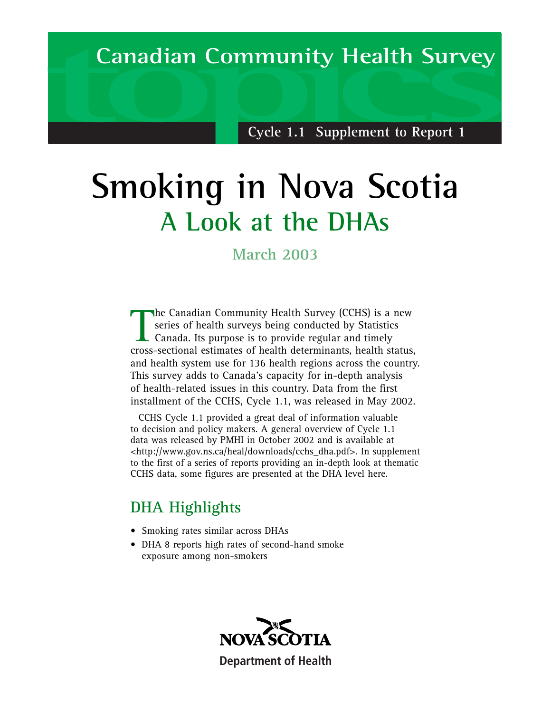## **Canadian Community Health Survey Canadian Community Health Survey**

**Cycle 1.1 Supplement to Report 1**

## **Smoking in Nova Scotia A Look at the DHAs**

**March 2003**

The Canadian Community Health Survey (CCHS) is a new series of health surveys being conducted by Statistics<br>Canada. Its purpose is to provide regular and timely<br>cross-sectional estimates of health determinants, health stat he Canadian Community Health Survey (CCHS) is a new series of health surveys being conducted by Statistics  $\overline{\phantom{a}}$  Canada. Its purpose is to provide regular and timely and health system use for 136 health regions across the country. This survey adds to Canada's capacity for in-depth analysis of health-related issues in this country. Data from the first installment of the CCHS, Cycle 1.1, was released in May 2002.

CCHS Cycle 1.1 provided a great deal of information valuable to decision and policy makers. A general overview of Cycle 1.1 data was released by PMHI in October 2002 and is available at <http://www.gov.ns.ca/heal/downloads/cchs\_dha.pdf>. In supplement to the first of a series of reports providing an in-depth look at thematic CCHS data, some figures are presented at the DHA level here.

## **DHA Highlights**

- Smoking rates similar across DHAs
- DHA 8 reports high rates of second-hand smoke exposure among non-smokers